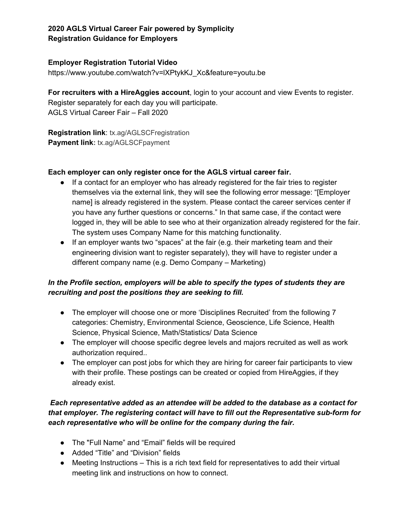# **2020 AGLS Virtual Career Fair powered by Symplicity Registration Guidance for Employers**

#### **Employer Registration Tutorial Video**

[https://www.youtube.com/watch?v=lXPtykKJ\\_Xc&feature=youtu.be](https://www.youtube.com/watch?v=lXPtykKJ_Xc&feature=youtu.be)

**For recruiters with a HireAggies account**, login to your account and view Events to register. Register separately for each day you will participate. AGLS Virtual Career Fair – Fall 2020

**Registration link**: tx.ag/AGLSCFregistration **Payment link:** tx.ag/AGLSCFpayment

### **Each employer can only register once for the AGLS virtual career fair.**

- If a contact for an employer who has already registered for the fair tries to register themselves via the external link, they will see the following error message: "[Employer name] is already registered in the system. Please contact the career services center if you have any further questions or concerns." In that same case, if the contact were logged in, they will be able to see who at their organization already registered for the fair. The system uses Company Name for this matching functionality.
- If an employer wants two "spaces" at the fair (e.g. their marketing team and their engineering division want to register separately), they will have to register under a different company name (e.g. Demo Company – Marketing)

# *In the Profile section, employers will be able to specify the types of students they are recruiting and post the positions they are seeking to fill.*

- The employer will choose one or more 'Disciplines Recruited' from the following 7 categories: Chemistry, Environmental Science, Geoscience, Life Science, Health Science, Physical Science, Math/Statistics/ Data Science
- The employer will choose specific degree levels and majors recruited as well as work authorization required..
- The employer can post jobs for which they are hiring for career fair participants to view with their profile. These postings can be created or copied from HireAggies, if they already exist.

# *Each representative added as an attendee will be added to the database as a contact for that employer. The registering contact will have to fill out the Representative sub-form for each representative who will be online for the company during the fair.*

- The "Full Name" and "Email" fields will be required
- Added "Title" and "Division" fields
- Meeting Instructions This is a rich text field for representatives to add their virtual meeting link and instructions on how to connect.